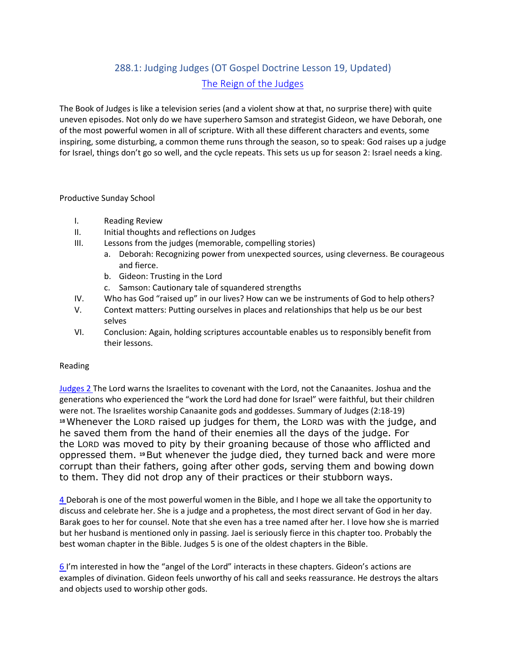# 288.1: Judging Judges (OT Gospel Doctrine Lesson 19, Updated) [The Reign of the Judges](https://www.lds.org/manual/old-testament-gospel-doctrine-teachers-manual/lesson-19?lang=eng)

The Book of Judges is like a television series (and a violent show at that, no surprise there) with quite uneven episodes. Not only do we have superhero Samson and strategist Gideon, we have Deborah, one of the most powerful women in all of scripture. With all these different characters and events, some inspiring, some disturbing, a common theme runs through the season, so to speak: God raises up a judge for Israel, things don't go so well, and the cycle repeats. This sets us up for season 2: Israel needs a king.

#### Productive Sunday School

- I. Reading Review
- II. Initial thoughts and reflections on Judges
- III. Lessons from the judges (memorable, compelling stories)
	- a. Deborah: Recognizing power from unexpected sources, using cleverness. Be courageous and fierce.
		- b. Gideon: Trusting in the Lord
		- c. Samson: Cautionary tale of squandered strengths
- IV. Who has God "raised up" in our lives? How can we be instruments of God to help others?
- V. Context matters: Putting ourselves in places and relationships that help us be our best selves
- VI. Conclusion: Again, holding scriptures accountable enables us to responsibly benefit from their lessons.

#### Reading

[Judges 2](http://www.lds.org/scriptures/ot/judg/2?lang=eng) The Lord warns the Israelites to covenant with the Lord, not the Canaanites. Joshua and the generations who experienced the "work the Lord had done for Israel" were faithful, but their children were not. The Israelites worship Canaanite gods and goddesses. Summary of Judges (2:18-19) **<sup>18</sup>**Whenever the LORD raised up judges for them, the LORD was with the judge, and he saved them from the hand of their enemies all the days of the judge. For the LORD was moved to pity by their groaning because of those who afflicted and oppressed them. **<sup>19</sup>**But whenever the judge died, they turned back and were more corrupt than their fathers, going after other gods, serving them and bowing down to them. They did not drop any of their practices or their stubborn ways.

[4](http://www.lds.org/scriptures/ot/judg/4?lang=eng) Deborah is one of the most powerful women in the Bible, and I hope we all take the opportunity to discuss and celebrate her. She is a judge and a prophetess, the most direct servant of God in her day. Barak goes to her for counsel. Note that she even has a tree named after her. I love how she is married but her husband is mentioned only in passing. Jael is seriously fierce in this chapter too. Probably the best woman chapter in the Bible. Judges 5 is one of the oldest chapters in the Bible.

[6](http://www.lds.org/scriptures/ot/judg/6?lang=eng) I'm interested in how the "angel of the Lord" interacts in these chapters. Gideon's actions are examples of divination. Gideon feels unworthy of his call and seeks reassurance. He destroys the altars and objects used to worship other gods.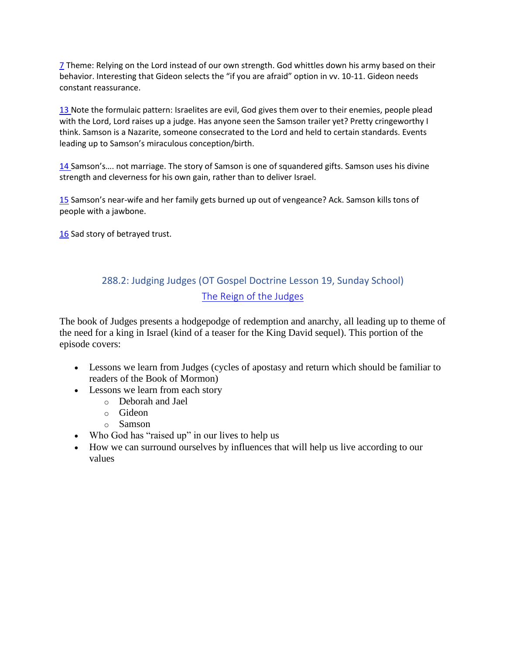[7](http://www.lds.org/scriptures/ot/judg/7?lang=eng) Theme: Relying on the Lord instead of our own strength. God whittles down his army based on their behavior. Interesting that Gideon selects the "if you are afraid" option in vv. 10-11. Gideon needs constant reassurance.

[13](http://www.lds.org/scriptures/ot/judg/13?lang=eng) Note the formulaic pattern: Israelites are evil, God gives them over to their enemies, people plead with the Lord, Lord raises up a judge. Has anyone seen the Samson trailer yet? Pretty cringeworthy I think. Samson is a Nazarite, someone consecrated to the Lord and held to certain standards. Events leading up to Samson's miraculous conception/birth.

[14](http://www.lds.org/scriptures/ot/judg/14?lang=eng) Samson's…. not marriage. The story of Samson is one of squandered gifts. Samson uses his divine strength and cleverness for his own gain, rather than to deliver Israel.

[15](http://www.lds.org/scriptures/ot/judg/15?lang=eng) Samson's near-wife and her family gets burned up out of vengeance? Ack. Samson kills tons of people with a jawbone.

[16](http://www.lds.org/scriptures/ot/judg/16?lang=eng) Sad story of betrayed trust.

## 288.2: Judging Judges (OT Gospel Doctrine Lesson 19, Sunday School) [The Reign of the Judges](https://www.lds.org/manual/old-testament-gospel-doctrine-teachers-manual/lesson-19?lang=eng)

The book of Judges presents a hodgepodge of redemption and anarchy, all leading up to theme of the need for a king in Israel (kind of a teaser for the King David sequel). This portion of the episode covers:

- Lessons we learn from Judges (cycles of apostasy and return which should be familiar to readers of the Book of Mormon)
- Lessons we learn from each story
	- o Deborah and Jael
	- o Gideon
	- o Samson
- Who God has "raised up" in our lives to help us
- How we can surround ourselves by influences that will help us live according to our values